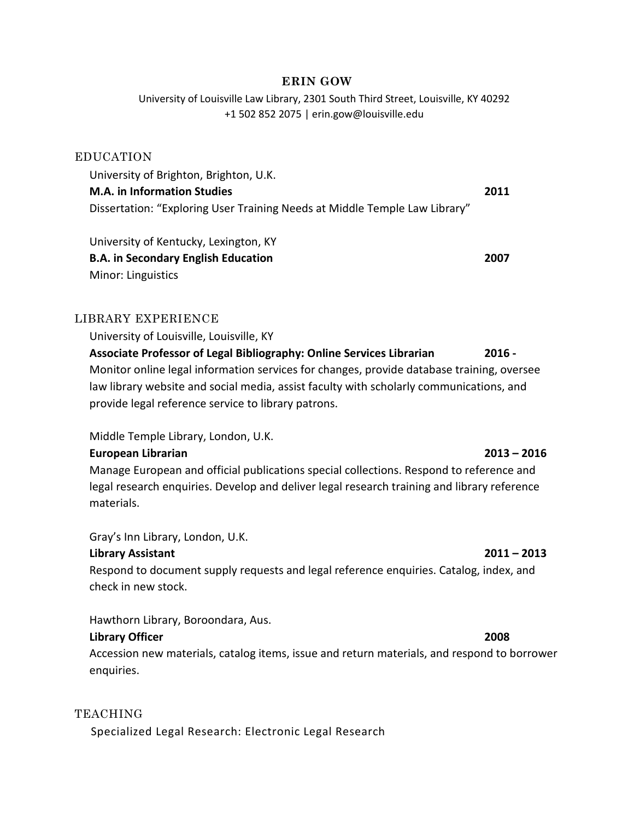### **ERIN GOW**

University of Louisville Law Library, 2301 South Third Street, Louisville, KY 40292 +1 502 852 2075 | erin.gow@louisville.edu

### EDUCATION

University of Brighton, Brighton, U.K. **M.A. in Information Studies 2011** Dissertation: "Exploring User Training Needs at Middle Temple Law Library"

University of Kentucky, Lexington, KY **B.A. in Secondary English Education 2007** Minor: Linguistics

# LIBRARY EXPERIENCE

University of Louisville, Louisville, KY **Associate Professor of Legal Bibliography: Online Services Librarian 2016 -** Monitor online legal information services for changes, provide database training, oversee law library website and social media, assist faculty with scholarly communications, and provide legal reference service to library patrons.

Middle Temple Library, London, U.K.

### **European Librarian 2013 – 2016**

Manage European and official publications special collections. Respond to reference and legal research enquiries. Develop and deliver legal research training and library reference materials.

Gray's Inn Library, London, U.K.

# **Library Assistant 2011 – 2013**

Respond to document supply requests and legal reference enquiries. Catalog, index, and check in new stock.

Hawthorn Library, Boroondara, Aus.

# **Library Officer 2008**

Accession new materials, catalog items, issue and return materials, and respond to borrower enquiries.

# TEACHING

Specialized Legal Research: Electronic Legal Research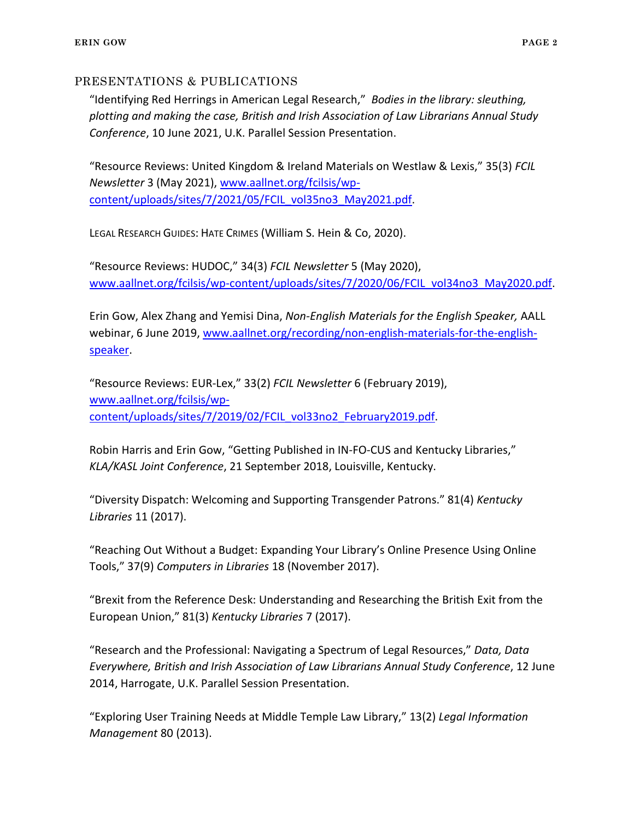### PRESENTATIONS & PUBLICATIONS

"Identifying Red Herrings in American Legal Research," *Bodies in the library: sleuthing, plotting and making the case, British and Irish Association of Law Librarians Annual Study Conference*, 10 June 2021, U.K. Parallel Session Presentation.

"Resource Reviews: United Kingdom & Ireland Materials on Westlaw & Lexis," 35(3) *FCIL Newsletter* 3 (May 2021), [www.aallnet.org/fcilsis/wp](http://www.aallnet.org/fcilsis/wp-content/uploads/sites/7/2021/05/FCIL_vol35no3_May2021.pdf)[content/uploads/sites/7/2021/05/FCIL\\_vol35no3\\_May2021.pdf.](http://www.aallnet.org/fcilsis/wp-content/uploads/sites/7/2021/05/FCIL_vol35no3_May2021.pdf)

LEGAL RESEARCH GUIDES: HATE CRIMES (William S. Hein & Co, 2020).

"Resource Reviews: HUDOC," 34(3) *FCIL Newsletter* 5 (May 2020), [www.aallnet.org/fcilsis/wp-content/uploads/sites/7/2020/06/FCIL\\_vol34no3\\_May2020.pdf.](http://www.aallnet.org/fcilsis/wp-content/uploads/sites/7/2020/06/FCIL_vol34no3_May2020.pdf)

Erin Gow, Alex Zhang and Yemisi Dina, *Non-English Materials for the English Speaker,* AALL webinar, 6 June 2019, [www.aallnet.org/recording/non-english-materials-for-the-english](http://www.aallnet.org/recording/non-english-materials-for-the-english-speaker)[speaker.](http://www.aallnet.org/recording/non-english-materials-for-the-english-speaker)

"Resource Reviews: EUR-Lex," 33(2) *FCIL Newsletter* 6 (February 2019), [www.aallnet.org/fcilsis/wp](http://www.aallnet.org/fcilsis/wp-content/uploads/sites/7/2019/02/FCIL_vol33no2_February2019.pdf)[content/uploads/sites/7/2019/02/FCIL\\_vol33no2\\_February2019.pdf.](http://www.aallnet.org/fcilsis/wp-content/uploads/sites/7/2019/02/FCIL_vol33no2_February2019.pdf)

Robin Harris and Erin Gow, "Getting Published in IN-FO-CUS and Kentucky Libraries," *KLA/KASL Joint Conference*, 21 September 2018, Louisville, Kentucky.

"Diversity Dispatch: Welcoming and Supporting Transgender Patrons." 81(4) *Kentucky Libraries* 11 (2017).

"Reaching Out Without a Budget: Expanding Your Library's Online Presence Using Online Tools," 37(9) *Computers in Libraries* 18 (November 2017).

"Brexit from the Reference Desk: Understanding and Researching the British Exit from the European Union," 81(3) *Kentucky Libraries* 7 (2017).

"Research and the Professional: Navigating a Spectrum of Legal Resources," *Data, Data Everywhere, British and Irish Association of Law Librarians Annual Study Conference*, 12 June 2014, Harrogate, U.K. Parallel Session Presentation.

"Exploring User Training Needs at Middle Temple Law Library," 13(2) *Legal Information Management* 80 (2013).